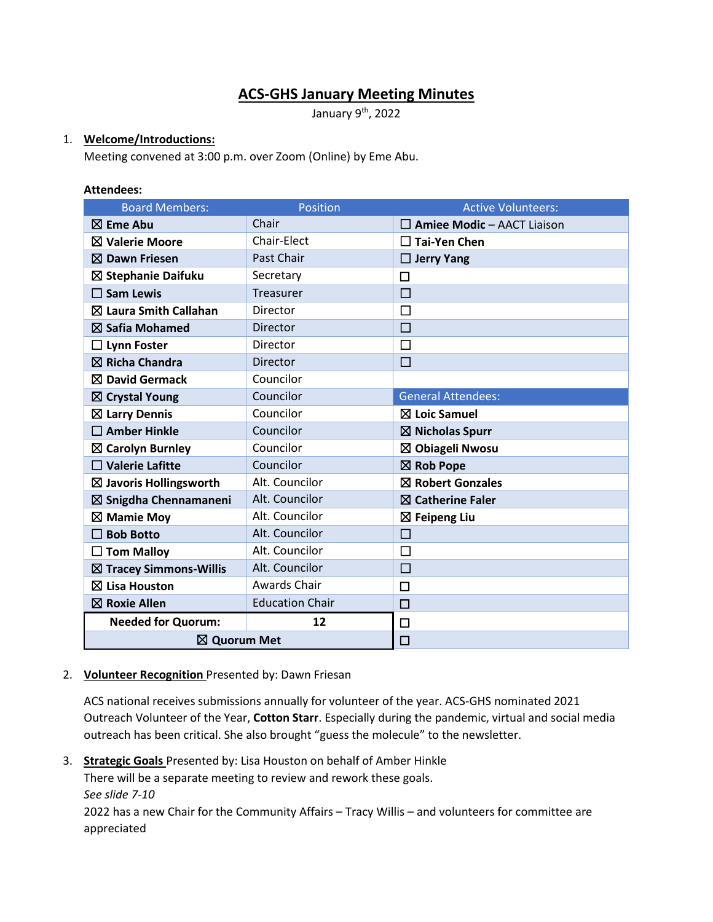# **ACS-GHS January Meeting Minutes**

January 9<sup>th</sup>, 2022

### 1. **Welcome/Introductions:**

Meeting convened at 3:00 p.m. over Zoom (Online) by Eme Abu.

#### **Attendees:**

| <b>Board Members:</b>             | Position               | <b>Active Volunteers:</b>         |
|-----------------------------------|------------------------|-----------------------------------|
| $\boxtimes$ Eme Abu               | Chair                  | $\Box$ Amiee Modic - AACT Liaison |
| <b>⊠ Valerie Moore</b>            | Chair-Elect            | $\Box$ Tai-Yen Chen               |
| $\boxtimes$ Dawn Friesen          | Past Chair             | $\Box$ Jerry Yang                 |
| ⊠ Stephanie Daifuku               | Secretary              | П                                 |
| $\square$ Sam Lewis               | Treasurer              | $\Box$                            |
| $\boxtimes$ Laura Smith Callahan  | <b>Director</b>        | П                                 |
| $\boxtimes$ Safia Mohamed         | <b>Director</b>        | □                                 |
| <b>Lynn Foster</b>                | Director               | П                                 |
| $\boxtimes$ Richa Chandra         | Director               | $\Box$                            |
| $\boxtimes$ David Germack         | Councilor              |                                   |
| $\boxtimes$ Crystal Young         | Councilor              | <b>General Attendees:</b>         |
| $\boxtimes$ Larry Dennis          | Councilor              | $\boxtimes$ Loic Samuel           |
| $\square$ Amber Hinkle            | Councilor              | $\boxtimes$ Nicholas Spurr        |
| $\boxtimes$ Carolyn Burnley       | Councilor              | $\boxtimes$ Obiageli Nwosu        |
| $\Box$ Valerie Lafitte            | Councilor              | $\boxtimes$ Rob Pope              |
| $\boxtimes$ Javoris Hollingsworth | Alt. Councilor         | $\boxtimes$ Robert Gonzales       |
| $\boxtimes$ Snigdha Chennamaneni  | Alt. Councilor         | $\boxtimes$ Catherine Faler       |
| $\boxtimes$ Mamie Moy             | Alt. Councilor         | $\boxtimes$ Feipeng Liu           |
| <b>Bob Botto</b><br>$\mathsf{L}$  | Alt. Councilor         | □                                 |
| <b>Tom Malloy</b>                 | Alt. Councilor         | $\Box$                            |
| $\boxtimes$ Tracey Simmons-Willis | Alt. Councilor         | $\Box$                            |
| $\boxtimes$ Lisa Houston          | Awards Chair           | $\Box$                            |
| $\boxtimes$ Roxie Allen           | <b>Education Chair</b> | $\Box$                            |
| <b>Needed for Quorum:</b>         | 12                     | □                                 |
| ⊠ Quorum Met                      |                        | $\Box$                            |

#### 2. **Volunteer Recognition** Presented by: Dawn Friesan

ACS national receives submissions annually for volunteer of the year. ACS-GHS nominated 2021 Outreach Volunteer of the Year, **Cotton Starr**. Especially during the pandemic, virtual and social media outreach has been critical. She also brought "guess the molecule" to the newsletter.

3. **Strategic Goals** Presented by: Lisa Houston on behalf of Amber Hinkle

There will be a separate meeting to review and rework these goals.

*See slide 7-10*

2022 has a new Chair for the Community Affairs – Tracy Willis – and volunteers for committee are appreciated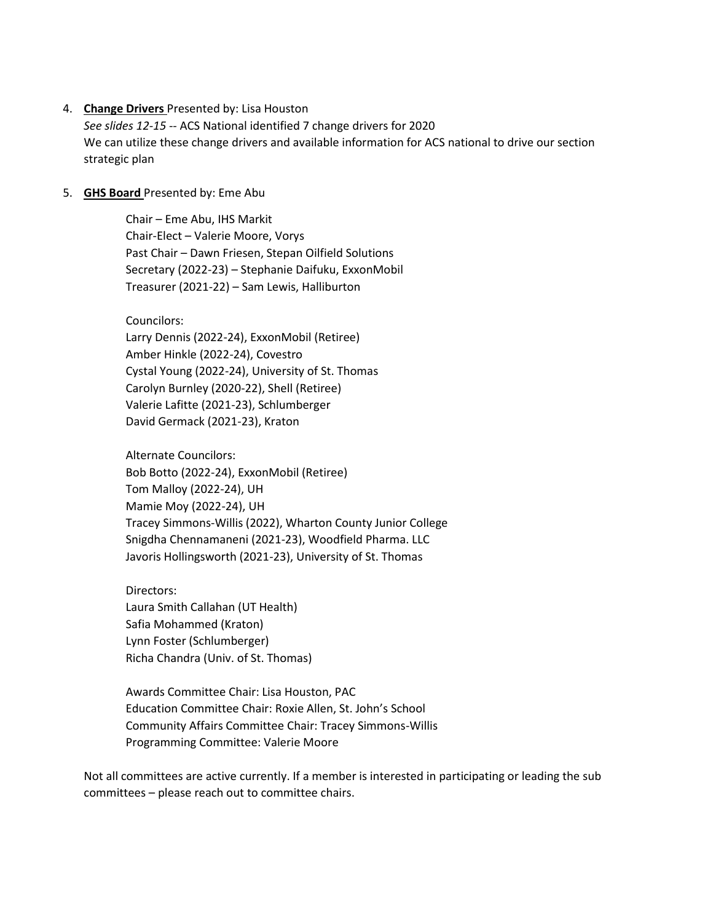#### 4. **Change Drivers** Presented by: Lisa Houston

*See slides 12-15 --* ACS National identified 7 change drivers for 2020 We can utilize these change drivers and available information for ACS national to drive our section strategic plan

#### 5. **GHS Board** Presented by: Eme Abu

Chair – Eme Abu, IHS Markit Chair-Elect – Valerie Moore, Vorys Past Chair – Dawn Friesen, Stepan Oilfield Solutions Secretary (2022-23) – Stephanie Daifuku, ExxonMobil Treasurer (2021-22) – Sam Lewis, Halliburton

Councilors:

Larry Dennis (2022-24), ExxonMobil (Retiree) Amber Hinkle (2022-24), Covestro Cystal Young (2022-24), University of St. Thomas Carolyn Burnley (2020-22), Shell (Retiree) Valerie Lafitte (2021-23), Schlumberger David Germack (2021-23), Kraton

Alternate Councilors: Bob Botto (2022-24), ExxonMobil (Retiree) Tom Malloy (2022-24), UH Mamie Moy (2022-24), UH Tracey Simmons-Willis (2022), Wharton County Junior College Snigdha Chennamaneni (2021-23), Woodfield Pharma. LLC Javoris Hollingsworth (2021-23), University of St. Thomas

Directors: Laura Smith Callahan (UT Health) Safia Mohammed (Kraton) Lynn Foster (Schlumberger) Richa Chandra (Univ. of St. Thomas)

Awards Committee Chair: Lisa Houston, PAC Education Committee Chair: Roxie Allen, St. John's School Community Affairs Committee Chair: Tracey Simmons-Willis Programming Committee: Valerie Moore

Not all committees are active currently. If a member is interested in participating or leading the sub committees – please reach out to committee chairs.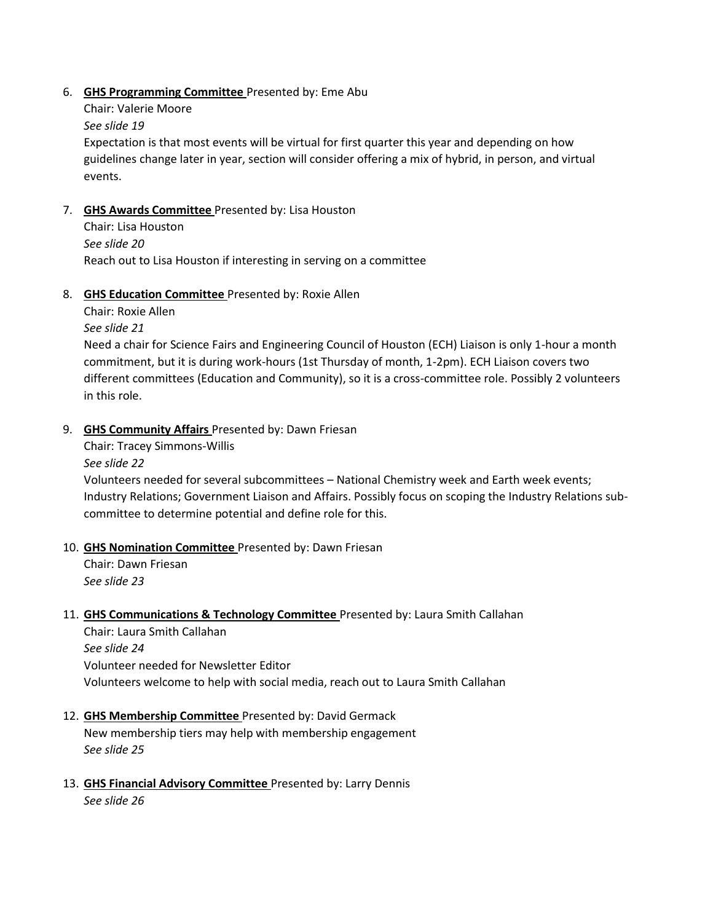### 6. **GHS Programming Committee** Presented by: Eme Abu

Chair: Valerie Moore

### *See slide 19*

Expectation is that most events will be virtual for first quarter this year and depending on how guidelines change later in year, section will consider offering a mix of hybrid, in person, and virtual events.

## 7. **GHS Awards Committee** Presented by: Lisa Houston

Chair: Lisa Houston *See slide 20* Reach out to Lisa Houston if interesting in serving on a committee

## 8. **GHS Education Committee** Presented by: Roxie Allen

Chair: Roxie Allen

*See slide 21*

Need a chair for Science Fairs and Engineering Council of Houston (ECH) Liaison is only 1-hour a month commitment, but it is during work-hours (1st Thursday of month, 1-2pm). ECH Liaison covers two different committees (Education and Community), so it is a cross-committee role. Possibly 2 volunteers in this role.

## 9. **GHS Community Affairs** Presented by: Dawn Friesan

Chair: Tracey Simmons-Willis

#### *See slide 22*

Volunteers needed for several subcommittees – National Chemistry week and Earth week events; Industry Relations; Government Liaison and Affairs. Possibly focus on scoping the Industry Relations subcommittee to determine potential and define role for this.

#### 10. **GHS Nomination Committee** Presented by: Dawn Friesan

Chair: Dawn Friesan *See slide 23*

#### 11. **GHS Communications & Technology Committee** Presented by: Laura Smith Callahan

Chair: Laura Smith Callahan *See slide 24* Volunteer needed for Newsletter Editor Volunteers welcome to help with social media, reach out to Laura Smith Callahan

## 12. **GHS Membership Committee** Presented by: David Germack

New membership tiers may help with membership engagement *See slide 25*

## 13. **GHS Financial Advisory Committee** Presented by: Larry Dennis

*See slide 26*